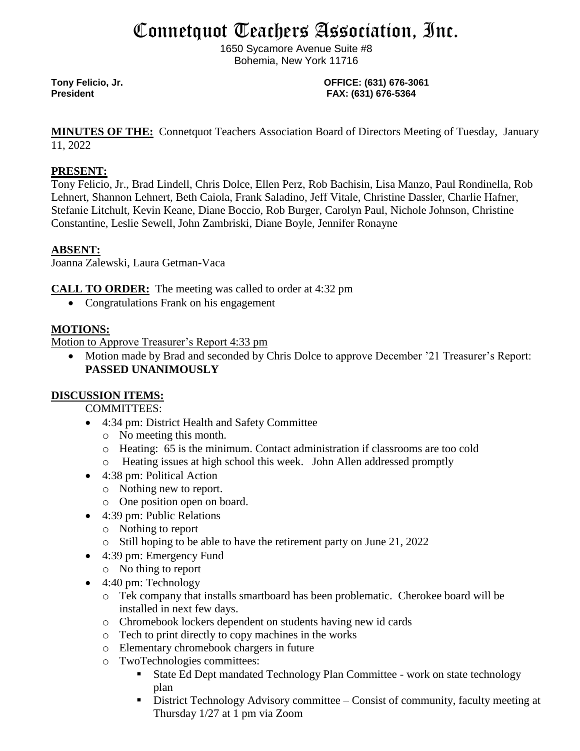# Connetquot Teachers Association, Inc.

1650 Sycamore Avenue Suite #8 Bohemia, New York 11716

**Tony Felicio, Jr. OFFICE: (631) 676-3061 President FAX: (631) 676-5364**

**MINUTES OF THE:** Connetquot Teachers Association Board of Directors Meeting of Tuesday, January 11, 2022

#### **PRESENT:**

Tony Felicio, Jr., Brad Lindell, Chris Dolce, Ellen Perz, Rob Bachisin, Lisa Manzo, Paul Rondinella, Rob Lehnert, Shannon Lehnert, Beth Caiola, Frank Saladino, Jeff Vitale, Christine Dassler, Charlie Hafner, Stefanie Litchult, Kevin Keane, Diane Boccio, Rob Burger, Carolyn Paul, Nichole Johnson, Christine Constantine, Leslie Sewell, John Zambriski, Diane Boyle, Jennifer Ronayne

### **ABSENT:**

Joanna Zalewski, Laura Getman-Vaca

**CALL TO ORDER:** The meeting was called to order at 4:32 pm

• Congratulations Frank on his engagement

## **MOTIONS:**

Motion to Approve Treasurer's Report 4:33 pm

 Motion made by Brad and seconded by Chris Dolce to approve December '21 Treasurer's Report: **PASSED UNANIMOUSLY**

#### **DISCUSSION ITEMS:**

#### COMMITTEES:

- 4:34 pm: District Health and Safety Committee
	- o No meeting this month.
	- o Heating: 65 is the minimum. Contact administration if classrooms are too cold
	- o Heating issues at high school this week. John Allen addressed promptly
- 4:38 pm: Political Action
	- o Nothing new to report.
	- o One position open on board.
- 4:39 pm: Public Relations
	- o Nothing to report
	- o Still hoping to be able to have the retirement party on June 21, 2022
- 4:39 pm: Emergency Fund
	- o No thing to report
- 4:40 pm: Technology
	- o Tek company that installs smartboard has been problematic. Cherokee board will be installed in next few days.
	- o Chromebook lockers dependent on students having new id cards
	- o Tech to print directly to copy machines in the works
	- o Elementary chromebook chargers in future
	- o TwoTechnologies committees:
		- State Ed Dept mandated Technology Plan Committee work on state technology plan
		- **District Technology Advisory committee Consist of community, faculty meeting at** Thursday 1/27 at 1 pm via Zoom